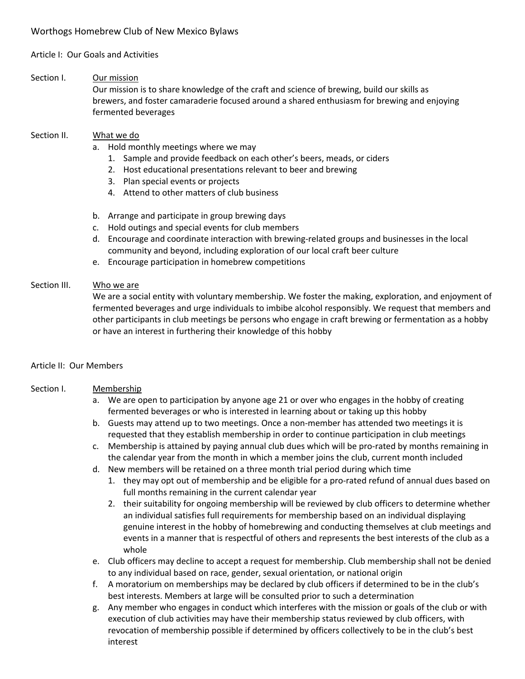## Article I: Our Goals and Activities

#### Section I. Our mission

Our mission is to share knowledge of the craft and science of brewing, build our skills as brewers, and foster camaraderie focused around a shared enthusiasm for brewing and enjoying fermented beverages

#### Section II. What we do

- a. Hold monthly meetings where we may
	- 1. Sample and provide feedback on each other's beers, meads, or ciders
	- 2. Host educational presentations relevant to beer and brewing
	- 3. Plan special events or projects
	- 4. Attend to other matters of club business
- b. Arrange and participate in group brewing days
- c. Hold outings and special events for club members
- d. Encourage and coordinate interaction with brewing-related groups and businesses in the local community and beyond, including exploration of our local craft beer culture
- e. Encourage participation in homebrew competitions

#### Section III. Who we are

We are a social entity with voluntary membership. We foster the making, exploration, and enjoyment of fermented beverages and urge individuals to imbibe alcohol responsibly. We request that members and other participants in club meetings be persons who engage in craft brewing or fermentation as a hobby or have an interest in furthering their knowledge of this hobby

#### Article II: Our Members

#### Section I. Membership

- a. We are open to participation by anyone age 21 or over who engages in the hobby of creating fermented beverages or who is interested in learning about or taking up this hobby
- b. Guests may attend up to two meetings. Once a non-member has attended two meetings it is requested that they establish membership in order to continue participation in club meetings
- c. Membership is attained by paying annual club dues which will be pro-rated by months remaining in the calendar year from the month in which a member joins the club, current month included
- d. New members will be retained on a three month trial period during which time
	- 1. they may opt out of membership and be eligible for a pro-rated refund of annual dues based on full months remaining in the current calendar year
	- 2. their suitability for ongoing membership will be reviewed by club officers to determine whether an individual satisfies full requirements for membership based on an individual displaying genuine interest in the hobby of homebrewing and conducting themselves at club meetings and events in a manner that is respectful of others and represents the best interests of the club as a whole
- e. Club officers may decline to accept a request for membership. Club membership shall not be denied to any individual based on race, gender, sexual orientation, or national origin
- f. A moratorium on memberships may be declared by club officers if determined to be in the club's best interests. Members at large will be consulted prior to such a determination
- g. Any member who engages in conduct which interferes with the mission or goals of the club or with execution of club activities may have their membership status reviewed by club officers, with revocation of membership possible if determined by officers collectively to be in the club's best interest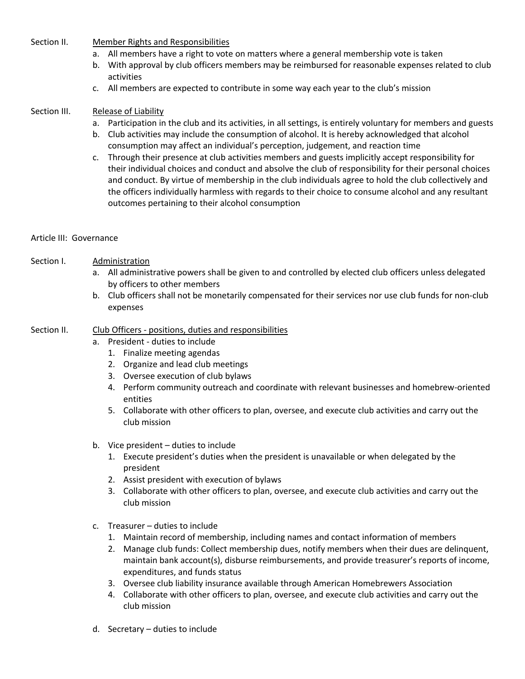Section II. Member Rights and Responsibilities

- a. All members have a right to vote on matters where a general membership vote is taken
- b. With approval by club officers members may be reimbursed for reasonable expenses related to club activities
- c. All members are expected to contribute in some way each year to the club's mission

## Section III. Release of Liability

- a. Participation in the club and its activities, in all settings, is entirely voluntary for members and guests
- b. Club activities may include the consumption of alcohol. It is hereby acknowledged that alcohol consumption may affect an individual's perception, judgement, and reaction time
- c. Through their presence at club activities members and guests implicitly accept responsibility for their individual choices and conduct and absolve the club of responsibility for their personal choices and conduct. By virtue of membership in the club individuals agree to hold the club collectively and the officers individually harmless with regards to their choice to consume alcohol and any resultant outcomes pertaining to their alcohol consumption

## Article III: Governance

## Section I. Administration

- a. All administrative powers shall be given to and controlled by elected club officers unless delegated by officers to other members
- b. Club officers shall not be monetarily compensated for their services nor use club funds for non-club expenses

## Section II. Club Officers - positions, duties and responsibilities

- a. President duties to include
	- 1. Finalize meeting agendas
	- 2. Organize and lead club meetings
	- 3. Oversee execution of club bylaws
	- 4. Perform community outreach and coordinate with relevant businesses and homebrew-oriented entities
	- 5. Collaborate with other officers to plan, oversee, and execute club activities and carry out the club mission
- b. Vice president duties to include
	- 1. Execute president's duties when the president is unavailable or when delegated by the president
	- 2. Assist president with execution of bylaws
	- 3. Collaborate with other officers to plan, oversee, and execute club activities and carry out the club mission
- c. Treasurer duties to include
	- 1. Maintain record of membership, including names and contact information of members
	- 2. Manage club funds: Collect membership dues, notify members when their dues are delinquent, maintain bank account(s), disburse reimbursements, and provide treasurer's reports of income, expenditures, and funds status
	- 3. Oversee club liability insurance available through American Homebrewers Association
	- 4. Collaborate with other officers to plan, oversee, and execute club activities and carry out the club mission
- d. Secretary duties to include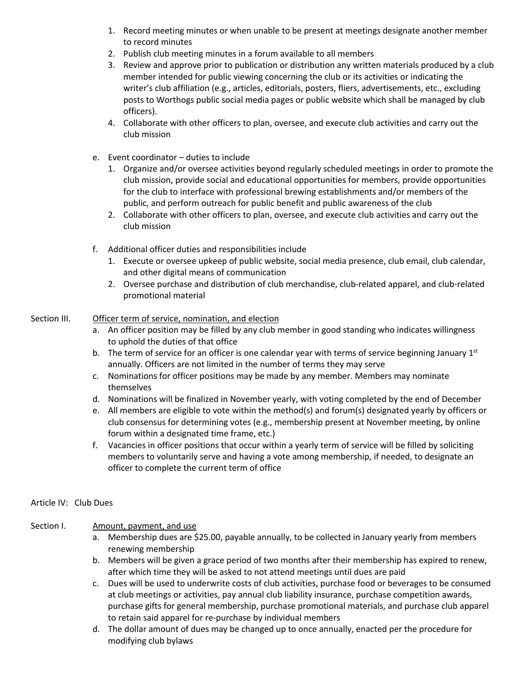- 1. Record meeting minutes or when unable to be present at meetings designate another member to record minutes
- 2. Publish club meeting minutes in a forum available to all members
- 3. Review and approve prior to publication or distribution any written materials produced by a club member intended for public viewing concerning the club or its activities or indicating the writer's club affiliation (e.g., articles, editorials, posters, fliers, advertisements, etc., excluding posts to Worthogs public social media pages or public website which shall be managed by club officers).
- 4. Collaborate with other officers to plan, oversee, and execute club activities and carry out the club mission
- e. Event coordinator duties to include
	- 1. Organize and/or oversee activities beyond regularly scheduled meetings in order to promote the club mission, provide social and educational opportunities for members, provide opportunities for the club to interface with professional brewing establishments and/or members of the public, and perform outreach for public benefit and public awareness of the club
	- 2. Collaborate with other officers to plan, oversee, and execute club activities and carry out the club mission
- f. Additional officer duties and responsibilities include
	- 1. Execute or oversee upkeep of public website, social media presence, club email, club calendar, and other digital means of communication
	- 2. Oversee purchase and distribution of club merchandise, club-related apparel, and club-related promotional material

# Section III. Officer term of service, nomination, and election

- a. An officer position may be filled by any club member in good standing who indicates willingness to uphold the duties of that office
- b. The term of service for an officer is one calendar year with terms of service beginning January  $1<sup>st</sup>$ annually. Officers are not limited in the number of terms they may serve
- c. Nominations for officer positions may be made by any member. Members may nominate themselves
- d. Nominations will be finalized in November yearly, with voting completed by the end of December
- e. All members are eligible to vote within the method(s) and forum(s) designated yearly by officers or club consensus for determining votes (e.g., membership present at November meeting, by online forum within a designated time frame, etc.)
- f. Vacancies in officer positions that occur within a yearly term of service will be filled by soliciting members to voluntarily serve and having a vote among membership, if needed, to designate an officer to complete the current term of office

## Article IV: Club Dues

## Section I. Amount, payment, and use

- a. Membership dues are \$25.00, payable annually, to be collected in January yearly from members renewing membership
- b. Members will be given a grace period of two months after their membership has expired to renew, after which time they will be asked to not attend meetings until dues are paid
- c. Dues will be used to underwrite costs of club activities, purchase food or beverages to be consumed at club meetings or activities, pay annual club liability insurance, purchase competition awards, purchase gifts for general membership, purchase promotional materials, and purchase club apparel to retain said apparel for re-purchase by individual members
- d. The dollar amount of dues may be changed up to once annually, enacted per the procedure for modifying club bylaws